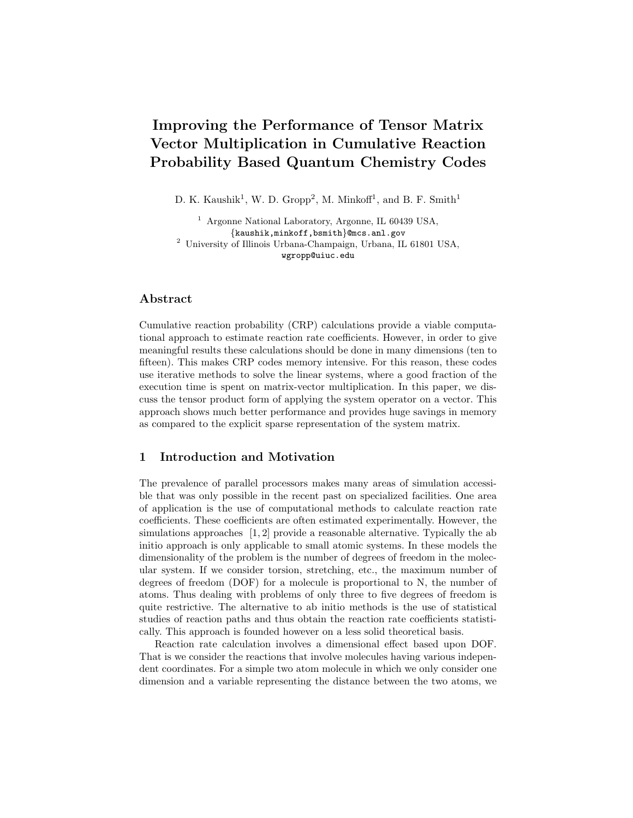# Improving the Performance of Tensor Matrix Vector Multiplication in Cumulative Reaction Probability Based Quantum Chemistry Codes

D. K. Kaushik<sup>1</sup>, W. D. Gropp<sup>2</sup>, M. Minkoff<sup>1</sup>, and B. F. Smith<sup>1</sup>

<sup>1</sup> Argonne National Laboratory, Argonne, IL 60439 USA, {kaushik,minkoff,bsmith}@mcs.anl.gov <sup>2</sup> University of Illinois Urbana-Champaign, Urbana, IL 61801 USA, wgropp@uiuc.edu

## Abstract

Cumulative reaction probability (CRP) calculations provide a viable computational approach to estimate reaction rate coefficients. However, in order to give meaningful results these calculations should be done in many dimensions (ten to fifteen). This makes CRP codes memory intensive. For this reason, these codes use iterative methods to solve the linear systems, where a good fraction of the execution time is spent on matrix-vector multiplication. In this paper, we discuss the tensor product form of applying the system operator on a vector. This approach shows much better performance and provides huge savings in memory as compared to the explicit sparse representation of the system matrix.

## 1 Introduction and Motivation

The prevalence of parallel processors makes many areas of simulation accessible that was only possible in the recent past on specialized facilities. One area of application is the use of computational methods to calculate reaction rate coefficients. These coefficients are often estimated experimentally. However, the simulations approaches [1, 2] provide a reasonable alternative. Typically the ab initio approach is only applicable to small atomic systems. In these models the dimensionality of the problem is the number of degrees of freedom in the molecular system. If we consider torsion, stretching, etc., the maximum number of degrees of freedom (DOF) for a molecule is proportional to N, the number of atoms. Thus dealing with problems of only three to five degrees of freedom is quite restrictive. The alternative to ab initio methods is the use of statistical studies of reaction paths and thus obtain the reaction rate coefficients statistically. This approach is founded however on a less solid theoretical basis.

Reaction rate calculation involves a dimensional effect based upon DOF. That is we consider the reactions that involve molecules having various independent coordinates. For a simple two atom molecule in which we only consider one dimension and a variable representing the distance between the two atoms, we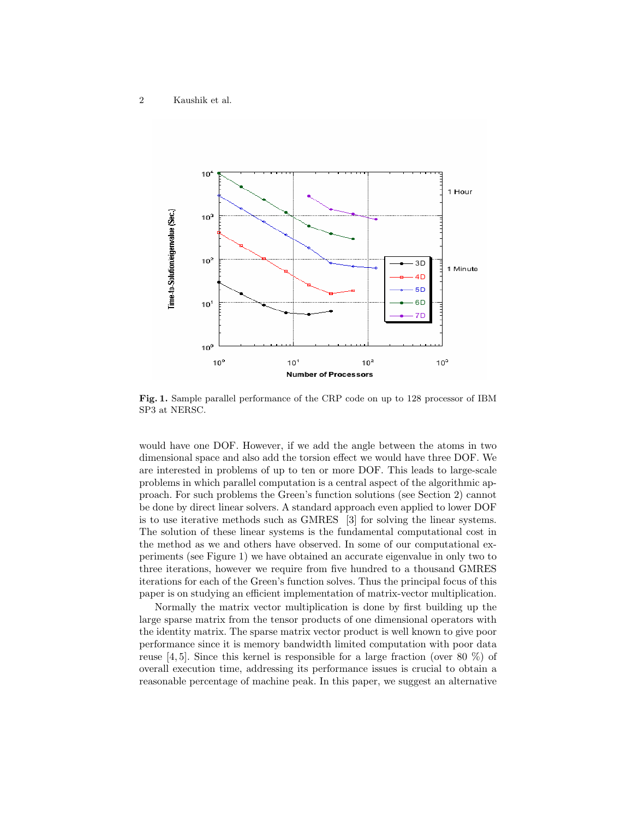

Fig. 1. Sample parallel performance of the CRP code on up to 128 processor of IBM SP3 at NERSC.

would have one DOF. However, if we add the angle between the atoms in two dimensional space and also add the torsion effect we would have three DOF. We are interested in problems of up to ten or more DOF. This leads to large-scale problems in which parallel computation is a central aspect of the algorithmic approach. For such problems the Green's function solutions (see Section 2) cannot be done by direct linear solvers. A standard approach even applied to lower DOF is to use iterative methods such as GMRES [3] for solving the linear systems. The solution of these linear systems is the fundamental computational cost in the method as we and others have observed. In some of our computational experiments (see Figure 1) we have obtained an accurate eigenvalue in only two to three iterations, however we require from five hundred to a thousand GMRES iterations for each of the Green's function solves. Thus the principal focus of this paper is on studying an efficient implementation of matrix-vector multiplication.

Normally the matrix vector multiplication is done by first building up the large sparse matrix from the tensor products of one dimensional operators with the identity matrix. The sparse matrix vector product is well known to give poor performance since it is memory bandwidth limited computation with poor data reuse [4, 5]. Since this kernel is responsible for a large fraction (over 80  $\%$ ) of overall execution time, addressing its performance issues is crucial to obtain a reasonable percentage of machine peak. In this paper, we suggest an alternative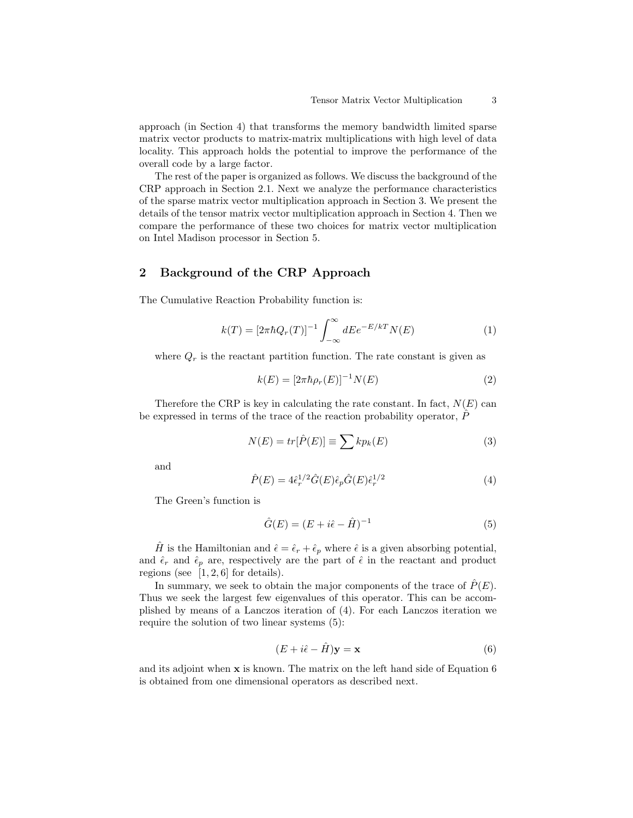approach (in Section 4) that transforms the memory bandwidth limited sparse matrix vector products to matrix-matrix multiplications with high level of data locality. This approach holds the potential to improve the performance of the overall code by a large factor.

The rest of the paper is organized as follows. We discuss the background of the CRP approach in Section 2.1. Next we analyze the performance characteristics of the sparse matrix vector multiplication approach in Section 3. We present the details of the tensor matrix vector multiplication approach in Section 4. Then we compare the performance of these two choices for matrix vector multiplication on Intel Madison processor in Section 5.

# 2 Background of the CRP Approach

The Cumulative Reaction Probability function is:

$$
k(T) = \left[2\pi\hbar Q_r(T)\right]^{-1} \int_{-\infty}^{\infty} dE e^{-E/kT} N(E)
$$
 (1)

where  $Q_r$  is the reactant partition function. The rate constant is given as

$$
k(E) = [2\pi \hbar \rho_r(E)]^{-1} N(E)
$$
 (2)

Therefore the CRP is key in calculating the rate constant. In fact,  $N(E)$  can be expressed in terms of the trace of the reaction probability operator,  $P$ 

$$
N(E) = tr[\hat{P}(E)] \equiv \sum k p_k(E)
$$
\n(3)

and

$$
\hat{P}(E) = 4\hat{\epsilon}_r^{1/2}\hat{G}(E)\hat{\epsilon}_p\hat{G}(E)\hat{\epsilon}_r^{1/2} \tag{4}
$$

The Green's function is

$$
\hat{G}(E) = (E + i\hat{\epsilon} - \hat{H})^{-1}
$$
\n(5)

H is the Hamiltonian and  $\hat{\epsilon} = \hat{\epsilon}_r + \hat{\epsilon}_p$  where  $\hat{\epsilon}$  is a given absorbing potential, and  $\hat{\epsilon}_r$  and  $\hat{\epsilon}_p$  are, respectively are the part of  $\hat{\epsilon}$  in the reactant and product regions (see  $[1, 2, 6]$  for details).

In summary, we seek to obtain the major components of the trace of  $\hat{P}(E)$ . Thus we seek the largest few eigenvalues of this operator. This can be accomplished by means of a Lanczos iteration of (4). For each Lanczos iteration we require the solution of two linear systems (5):

$$
(E + i\hat{\epsilon} - \hat{H})\mathbf{y} = \mathbf{x} \tag{6}
$$

and its adjoint when x is known. The matrix on the left hand side of Equation 6 is obtained from one dimensional operators as described next.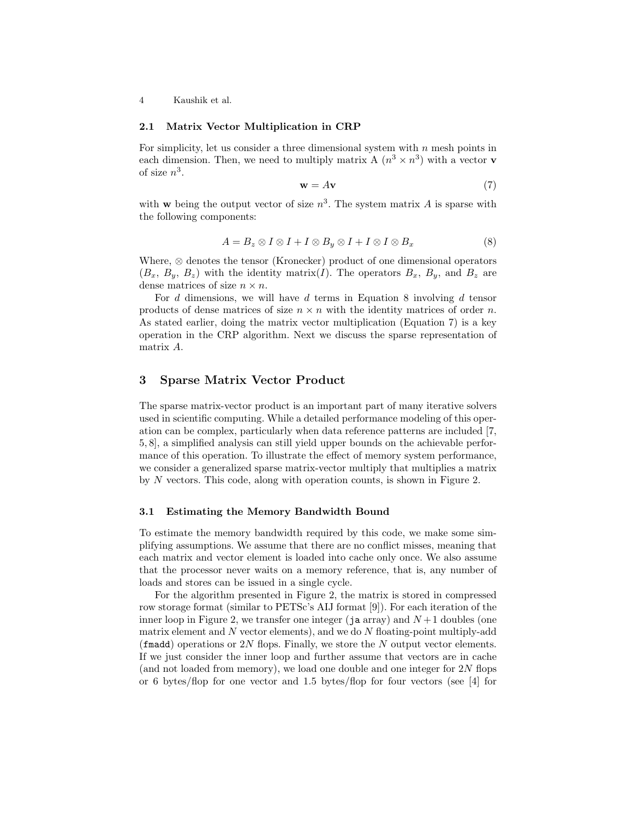4 Kaushik et al.

#### 2.1 Matrix Vector Multiplication in CRP

For simplicity, let us consider a three dimensional system with  $n$  mesh points in each dimension. Then, we need to multiply matrix A  $(n^3 \times n^3)$  with a vector **v** of size  $n^3$ .

$$
\mathbf{w} = A\mathbf{v} \tag{7}
$$

with **w** being the output vector of size  $n^3$ . The system matrix A is sparse with the following components:

$$
A = B_z \otimes I \otimes I + I \otimes B_y \otimes I + I \otimes I \otimes B_x \tag{8}
$$

Where, ⊗ denotes the tensor (Kronecker) product of one dimensional operators  $(B_x, B_y, B_z)$  with the identity matrix(*I*). The operators  $B_x, B_y$ , and  $B_z$  are dense matrices of size  $n \times n$ .

For  $d$  dimensions, we will have  $d$  terms in Equation 8 involving  $d$  tensor products of dense matrices of size  $n \times n$  with the identity matrices of order n. As stated earlier, doing the matrix vector multiplication (Equation 7) is a key operation in the CRP algorithm. Next we discuss the sparse representation of matrix A.

## 3 Sparse Matrix Vector Product

The sparse matrix-vector product is an important part of many iterative solvers used in scientific computing. While a detailed performance modeling of this operation can be complex, particularly when data reference patterns are included [7, 5, 8], a simplified analysis can still yield upper bounds on the achievable performance of this operation. To illustrate the effect of memory system performance, we consider a generalized sparse matrix-vector multiply that multiplies a matrix by N vectors. This code, along with operation counts, is shown in Figure 2.

#### 3.1 Estimating the Memory Bandwidth Bound

To estimate the memory bandwidth required by this code, we make some simplifying assumptions. We assume that there are no conflict misses, meaning that each matrix and vector element is loaded into cache only once. We also assume that the processor never waits on a memory reference, that is, any number of loads and stores can be issued in a single cycle.

For the algorithm presented in Figure 2, the matrix is stored in compressed row storage format (similar to PETSc's AIJ format [9]). For each iteration of the inner loop in Figure 2, we transfer one integer (ja array) and  $N+1$  doubles (one matrix element and N vector elements), and we do N floating-point multiply-add (fmadd) operations or 2N flops. Finally, we store the N output vector elements. If we just consider the inner loop and further assume that vectors are in cache (and not loaded from memory), we load one double and one integer for 2N flops or 6 bytes/flop for one vector and 1.5 bytes/flop for four vectors (see [4] for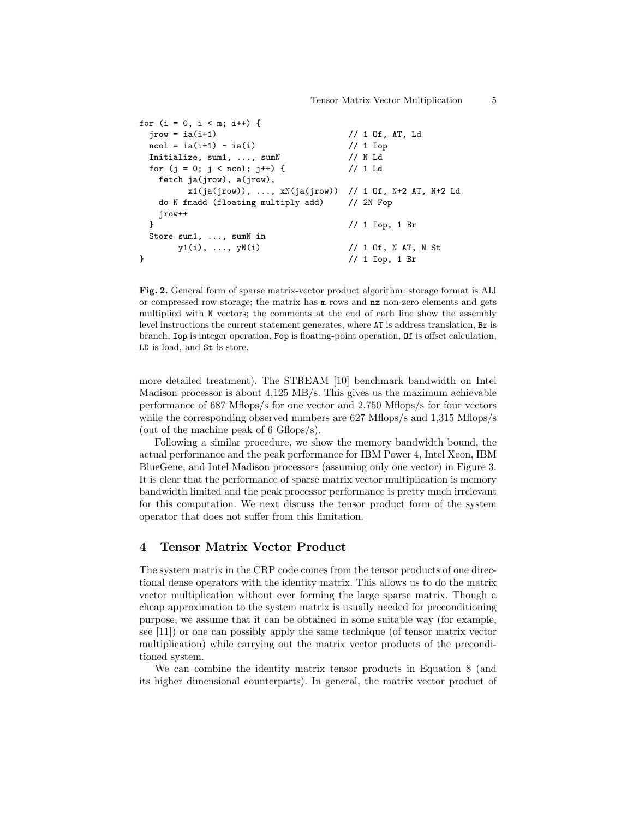```
for (i = 0, i < m; i++) {
 jrow = ia(i+1) // 1 Of, AT, Ld
 ncol = ia(i+1) - ia(i) // 1 Iop
 Initialize, sum1, ..., sumN // N Ld
 for (j = 0; j < ncol; j++) { // 1 Ld
  fetch ja(jrow), a(jrow),
      x1(ja(jrow)), ..., xN(ja(jrow)) // 1 Of, N+2 AT, N+2 Ld
  do N fmadd (floating multiply add) // 2N Fop
  jrow++
 } // 1 Iop, 1 Br
 Store sum1, ..., sumN in
     y1(i), ..., yN(i) // 1 Of, N AT, N St
} // 1 Iop, 1 Br
```
Fig. 2. General form of sparse matrix-vector product algorithm: storage format is AIJ or compressed row storage; the matrix has m rows and nz non-zero elements and gets multiplied with N vectors; the comments at the end of each line show the assembly level instructions the current statement generates, where AT is address translation, Br is branch, Iop is integer operation, Fop is floating-point operation, Of is offset calculation, LD is load, and St is store.

more detailed treatment). The STREAM [10] benchmark bandwidth on Intel Madison processor is about 4,125 MB/s. This gives us the maximum achievable performance of 687 Mflops/s for one vector and 2,750 Mflops/s for four vectors while the corresponding observed numbers are 627 Mflops/s and 1,315 Mflops/s (out of the machine peak of 6 Gflops/s).

Following a similar procedure, we show the memory bandwidth bound, the actual performance and the peak performance for IBM Power 4, Intel Xeon, IBM BlueGene, and Intel Madison processors (assuming only one vector) in Figure 3. It is clear that the performance of sparse matrix vector multiplication is memory bandwidth limited and the peak processor performance is pretty much irrelevant for this computation. We next discuss the tensor product form of the system operator that does not suffer from this limitation.

#### 4 Tensor Matrix Vector Product

The system matrix in the CRP code comes from the tensor products of one directional dense operators with the identity matrix. This allows us to do the matrix vector multiplication without ever forming the large sparse matrix. Though a cheap approximation to the system matrix is usually needed for preconditioning purpose, we assume that it can be obtained in some suitable way (for example, see [11]) or one can possibly apply the same technique (of tensor matrix vector multiplication) while carrying out the matrix vector products of the preconditioned system.

We can combine the identity matrix tensor products in Equation 8 (and its higher dimensional counterparts). In general, the matrix vector product of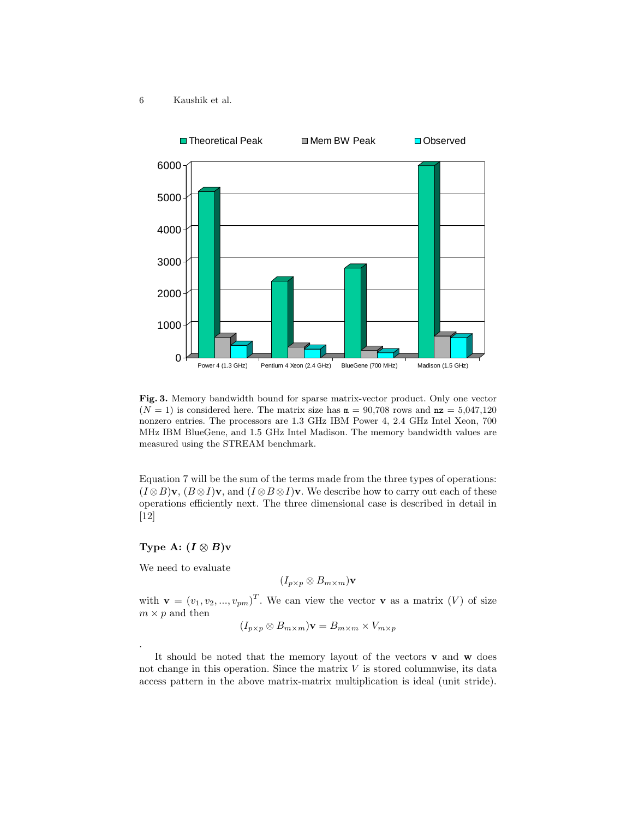6 Kaushik et al.



Fig. 3. Memory bandwidth bound for sparse matrix-vector product. Only one vector  $(N = 1)$  is considered here. The matrix size has  $m = 90,708$  rows and  $nz = 5,047,120$ nonzero entries. The processors are 1.3 GHz IBM Power 4, 2.4 GHz Intel Xeon, 700 MHz IBM BlueGene, and 1.5 GHz Intel Madison. The memory bandwidth values are measured using the STREAM benchmark.

Equation 7 will be the sum of the terms made from the three types of operations:  $(I \otimes B)\mathbf{v}$ ,  $(B \otimes I)\mathbf{v}$ , and  $(I \otimes B \otimes I)\mathbf{v}$ . We describe how to carry out each of these operations efficiently next. The three dimensional case is described in detail in [12]

## Type A:  $(I \otimes B)v$

We need to evaluate

.

$$
(I_{p\times p}\otimes B_{m\times m})\mathbf{v}
$$

with  $\mathbf{v} = (v_1, v_2, ..., v_{pm})^T$ . We can view the vector **v** as a matrix (V) of size  $m \times p$  and then

$$
(I_{p \times p} \otimes B_{m \times m})\mathbf{v} = B_{m \times m} \times V_{m \times p}
$$

It should be noted that the memory layout of the vectors v and w does not change in this operation. Since the matrix  $V$  is stored columnwise, its data access pattern in the above matrix-matrix multiplication is ideal (unit stride).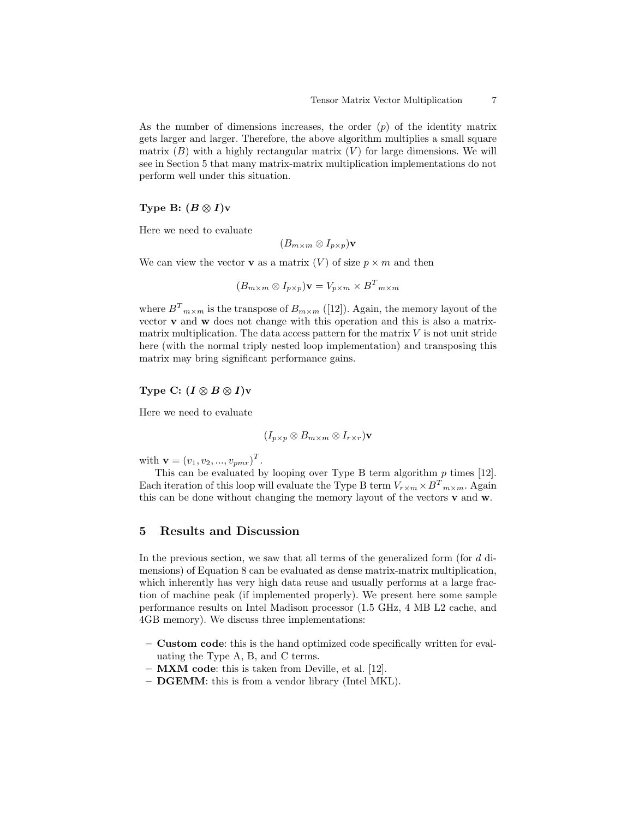As the number of dimensions increases, the order  $(p)$  of the identity matrix gets larger and larger. Therefore, the above algorithm multiplies a small square matrix  $(B)$  with a highly rectangular matrix  $(V)$  for large dimensions. We will see in Section 5 that many matrix-matrix multiplication implementations do not perform well under this situation.

#### Type B:  $(B \otimes I)v$

Here we need to evaluate

$$
(B_{m \times m} \otimes I_{p \times p})\mathbf{v}
$$

We can view the vector **v** as a matrix  $(V)$  of size  $p \times m$  and then

$$
(B_{m \times m} \otimes I_{p \times p})\mathbf{v} = V_{p \times m} \times B^{T}{}_{m \times m}
$$

where  $B_{m\times m}$  is the transpose of  $B_{m\times m}$  ([12]). Again, the memory layout of the vector v and w does not change with this operation and this is also a matrixmatrix multiplication. The data access pattern for the matrix  $V$  is not unit stride here (with the normal triply nested loop implementation) and transposing this matrix may bring significant performance gains.

#### Type C:  $(I \otimes B \otimes I)$ v

Here we need to evaluate

$$
(I_{p\times p}\otimes B_{m\times m}\otimes I_{r\times r})\mathbf{v}
$$

with  $\mathbf{v} = (v_1, v_2, ..., v_{pmr})^T$ .

This can be evaluated by looping over Type B term algorithm  $p$  times [12]. Each iteration of this loop will evaluate the Type B term  $V_{r \times m} \times B^{T}{}_{m \times m}$ . Again this can be done without changing the memory layout of the vectors  $\mathbf v$  and  $\mathbf w$ .

## 5 Results and Discussion

In the previous section, we saw that all terms of the generalized form (for d dimensions) of Equation 8 can be evaluated as dense matrix-matrix multiplication, which inherently has very high data reuse and usually performs at a large fraction of machine peak (if implemented properly). We present here some sample performance results on Intel Madison processor (1.5 GHz, 4 MB L2 cache, and 4GB memory). We discuss three implementations:

- Custom code: this is the hand optimized code specifically written for evaluating the Type A, B, and C terms.
- MXM code: this is taken from Deville, et al. [12].
- DGEMM: this is from a vendor library (Intel MKL).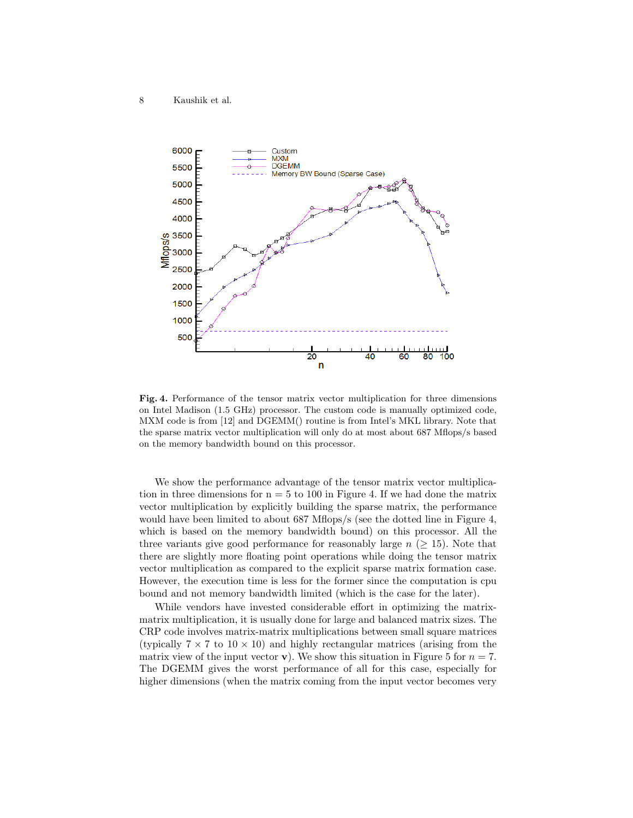8 Kaushik et al.



Fig. 4. Performance of the tensor matrix vector multiplication for three dimensions on Intel Madison (1.5 GHz) processor. The custom code is manually optimized code, MXM code is from [12] and DGEMM() routine is from Intel's MKL library. Note that the sparse matrix vector multiplication will only do at most about 687 Mflops/s based on the memory bandwidth bound on this processor.

We show the performance advantage of the tensor matrix vector multiplication in three dimensions for  $n = 5$  to 100 in Figure 4. If we had done the matrix vector multiplication by explicitly building the sparse matrix, the performance would have been limited to about 687 Mflops/s (see the dotted line in Figure 4, which is based on the memory bandwidth bound) on this processor. All the three variants give good performance for reasonably large  $n \geq 15$ ). Note that there are slightly more floating point operations while doing the tensor matrix vector multiplication as compared to the explicit sparse matrix formation case. However, the execution time is less for the former since the computation is cpu bound and not memory bandwidth limited (which is the case for the later).

While vendors have invested considerable effort in optimizing the matrixmatrix multiplication, it is usually done for large and balanced matrix sizes. The CRP code involves matrix-matrix multiplications between small square matrices (typically  $7 \times 7$  to  $10 \times 10$ ) and highly rectangular matrices (arising from the matrix view of the input vector **v**). We show this situation in Figure 5 for  $n = 7$ . The DGEMM gives the worst performance of all for this case, especially for higher dimensions (when the matrix coming from the input vector becomes very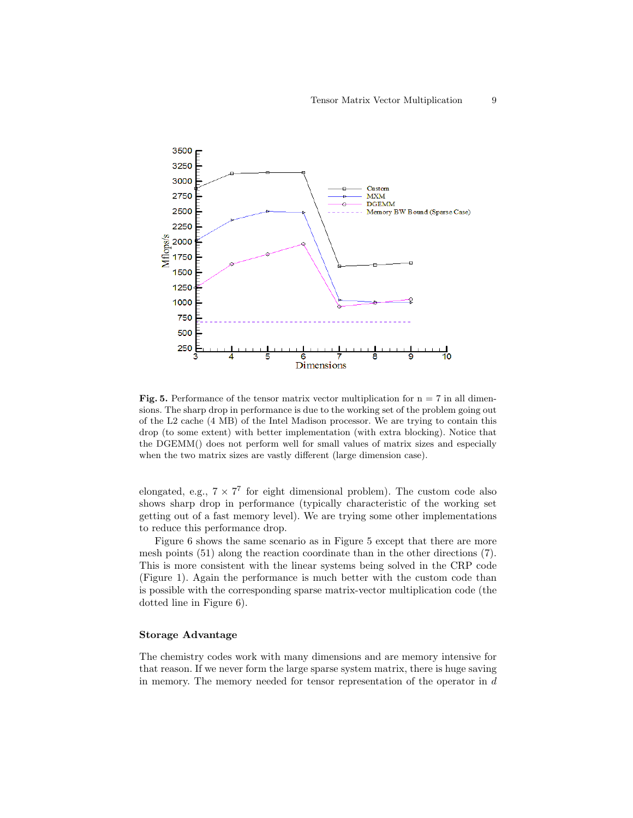

Fig. 5. Performance of the tensor matrix vector multiplication for  $n = 7$  in all dimensions. The sharp drop in performance is due to the working set of the problem going out of the L2 cache (4 MB) of the Intel Madison processor. We are trying to contain this drop (to some extent) with better implementation (with extra blocking). Notice that the DGEMM() does not perform well for small values of matrix sizes and especially when the two matrix sizes are vastly different (large dimension case).

elongated, e.g.,  $7 \times 7^7$  for eight dimensional problem). The custom code also shows sharp drop in performance (typically characteristic of the working set getting out of a fast memory level). We are trying some other implementations to reduce this performance drop.

Figure 6 shows the same scenario as in Figure 5 except that there are more mesh points (51) along the reaction coordinate than in the other directions (7). This is more consistent with the linear systems being solved in the CRP code (Figure 1). Again the performance is much better with the custom code than is possible with the corresponding sparse matrix-vector multiplication code (the dotted line in Figure 6).

#### Storage Advantage

The chemistry codes work with many dimensions and are memory intensive for that reason. If we never form the large sparse system matrix, there is huge saving in memory. The memory needed for tensor representation of the operator in  $d$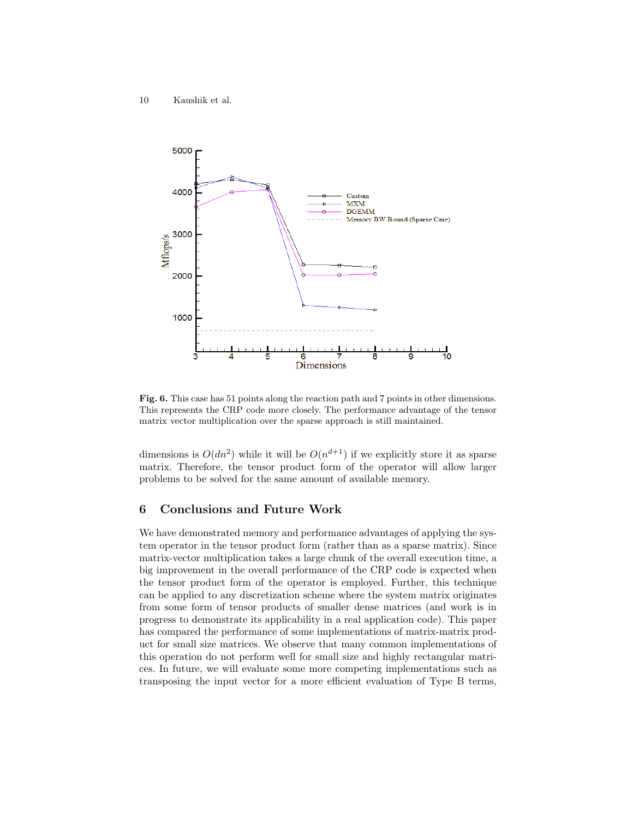10 Kaushik et al.



Fig. 6. This case has 51 points along the reaction path and 7 points in other dimensions. This represents the CRP code more closely. The performance advantage of the tensor matrix vector multiplication over the sparse approach is still maintained.

dimensions is  $O(dn^2)$  while it will be  $O(n^{d+1})$  if we explicitly store it as sparse matrix. Therefore, the tensor product form of the operator will allow larger problems to be solved for the same amount of available memory.

### 6 Conclusions and Future Work

We have demonstrated memory and performance advantages of applying the system operator in the tensor product form (rather than as a sparse matrix). Since matrix-vector multiplication takes a large chunk of the overall execution time, a big improvement in the overall performance of the CRP code is expected when the tensor product form of the operator is employed. Further, this technique can be applied to any discretization scheme where the system matrix originates from some form of tensor products of smaller dense matrices (and work is in progress to demonstrate its applicability in a real application code). This paper has compared the performance of some implementations of matrix-matrix product for small size matrices. We observe that many common implementations of this operation do not perform well for small size and highly rectangular matrices. In future, we will evaluate some more competing implementations such as transposing the input vector for a more efficient evaluation of Type B terms,